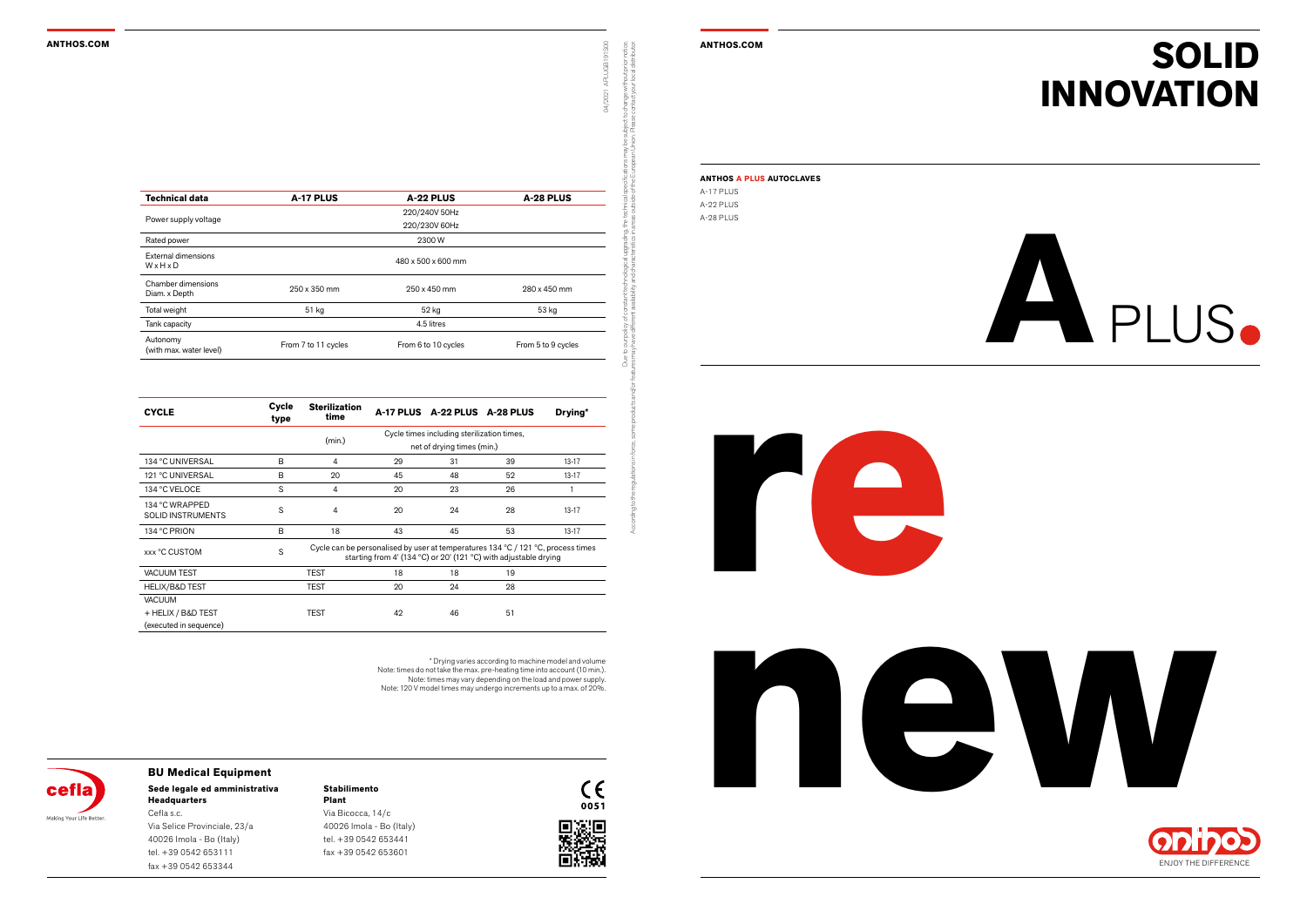#### **ANTHOS.COM ANTHOS.COM**









#### **Stabilimento Plant**

Via Bicocca, 14/c 40026 Imola - Bo (Italy) tel. +39 0542 653441 fax +39 0542 653601





### **Sede legale ed amministrativa BU Medical Equipment**

**Headquarters** Cefla s.c. Via Selice Provinciale, 23/a 40026 Imola - Bo (Italy) tel. +39 0542 653111 fax +39 0542 653344

## **SOLID INNOVATION**

Due to our policy of constant technological upgrading, the technical specifications may be subject to change without prior notice. According to the regulations in force, some products and/or features may have different availability and characteristics in areas outside of the European Union. Please contact your local distributor.

04/2021 APLUGB191S00

| ANTHOS A PLUS AUTOCLAVES |
|--------------------------|
| A-17 PI US               |
| A-22 PHIS                |

A-28 PLUS

\* Drying varies according to machine model and volume Note: times do not take the max. pre-heating time into account (10 min.). Note: times may vary depending on the load and power supply. Note: 120 V model times may undergo increments up to a max. of 20%.



| <b>Technical data</b>               | A-17 PLUS           | A-22 PLUS           | A-28 PLUS          |  |  |  |  |  |
|-------------------------------------|---------------------|---------------------|--------------------|--|--|--|--|--|
| Power supply voltage                |                     | 220/240V 50Hz       |                    |  |  |  |  |  |
|                                     | 220/230V 60Hz       |                     |                    |  |  |  |  |  |
| Rated power                         | 2300W               |                     |                    |  |  |  |  |  |
| External dimensions<br>WxHxD        | 480 x 500 x 600 mm  |                     |                    |  |  |  |  |  |
| Chamber dimensions<br>Diam. x Depth | 250 x 350 mm        | 250 x 450 mm        | 280 x 450 mm       |  |  |  |  |  |
| Total weight                        | 51 kg               | 52 kg               | 53 kg              |  |  |  |  |  |
| Tank capacity                       | 4.5 litres          |                     |                    |  |  |  |  |  |
| Autonomy<br>(with max. water level) | From 7 to 11 cycles | From 6 to 10 cycles | From 5 to 9 cycles |  |  |  |  |  |

| <b>CYCLE</b>                               | Cycle<br>type | <b>Sterilization</b><br>time                                                                                                                                               |    | A-17 PLUS A-22 PLUS A-28 PLUS |    | Drying*   |  |  |
|--------------------------------------------|---------------|----------------------------------------------------------------------------------------------------------------------------------------------------------------------------|----|-------------------------------|----|-----------|--|--|
|                                            |               | Cycle times including sterilization times,                                                                                                                                 |    |                               |    |           |  |  |
|                                            |               | (min.)<br>net of drying times (min.)                                                                                                                                       |    |                               |    |           |  |  |
| 134 °C UNIVERSAL                           | B             | 4                                                                                                                                                                          | 29 | 31                            | 39 | $13 - 17$ |  |  |
| 121 °C UNIVERSAL                           | B             | 20                                                                                                                                                                         | 45 | 48                            | 52 | $13 - 17$ |  |  |
| 134 °C VELOCE                              | S             | 4                                                                                                                                                                          | 20 | 23                            | 26 |           |  |  |
| 134 °C WRAPPED<br><b>SOLID INSTRUMENTS</b> | S             | 4                                                                                                                                                                          | 20 | 24                            | 28 | $13 - 17$ |  |  |
| 134 °C PRION                               | B             | 18                                                                                                                                                                         | 43 | 45                            | 53 | $13-17$   |  |  |
| xxx °C CUSTOM                              | S             | Cycle can be personalised by user at temperatures $134\,^{\circ}$ C / $121\,^{\circ}$ C, process times<br>starting from 4' (134 °C) or 20' (121 °C) with adjustable drying |    |                               |    |           |  |  |
| <b>VACUUM TEST</b>                         |               | <b>TEST</b>                                                                                                                                                                | 18 | 18                            | 19 |           |  |  |
| HELIX/B&D TEST                             |               | <b>TEST</b>                                                                                                                                                                | 20 | 24                            | 28 |           |  |  |
| <b>VACUUM</b>                              |               |                                                                                                                                                                            |    |                               |    |           |  |  |
| + HELIX / B&D TEST                         |               | <b>TEST</b>                                                                                                                                                                | 42 | 46                            | 51 |           |  |  |
| (executed in sequence)                     |               |                                                                                                                                                                            |    |                               |    |           |  |  |